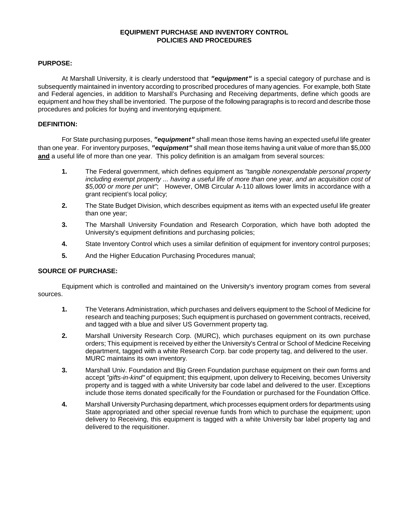# **EQUIPMENT PURCHASE AND INVENTORY CONTROL POLICIES AND PROCEDURES**

### **PURPOSE:**

At Marshall University, it is clearly understood that *"equipment"* is a special category of purchase and is subsequently maintained in inventory according to proscribed procedures of many agencies. For example, both State and Federal agencies, in addition to Marshall's Purchasing and Receiving departments, define which goods are equipment and how they shall be inventoried. The purpose of the following paragraphs is to record and describe those procedures and policies for buying and inventorying equipment.

# **DEFINITION:**

For State purchasing purposes, *"equipment"* shall mean those items having an expected useful life greater than one year. For inventory purposes, *"equipment"* shall mean those items having a unit value of more than \$5,000 **and** a useful life of more than one year. This policy definition is an amalgam from several sources:

- **1.** The Federal government, which defines equipment as *"tangible nonexpendable personal property*  including exempt property ... having a useful life of more than one year, and an acquisition cost of *\$5,000 or more per unit"*; However, OMB Circular A-110 allows lower limits in accordance with a grant recipient's local policy;
- **2.** The State Budget Division, which describes equipment as items with an expected useful life greater than one year;
- **3.** The Marshall University Foundation and Research Corporation, which have both adopted the University's equipment definitions and purchasing policies;
- **4.** State Inventory Control which uses a similar definition of equipment for inventory control purposes;
- **5.** And the Higher Education Purchasing Procedures manual;

# **SOURCE OF PURCHASE:**

Equipment which is controlled and maintained on the University's inventory program comes from several sources.

- **1.** The Veterans Administration, which purchases and delivers equipment to the School of Medicine for research and teaching purposes; Such equipment is purchased on government contracts, received, and tagged with a blue and silver US Government property tag.
- **2.** Marshall University Research Corp. (MURC), which purchases equipment on its own purchase orders; This equipment is received by either the University's Central or School of Medicine Receiving department, tagged with a white Research Corp. bar code property tag, and delivered to the user. MURC maintains its own inventory.
- **3.** Marshall Univ. Foundation and Big Green Foundation purchase equipment on their own forms and accept *"gifts-in-kind"* of equipment; this equipment, upon delivery to Receiving, becomes University property and is tagged with a white University bar code label and delivered to the user. Exceptions include those items donated specifically for the Foundation or purchased for the Foundation Office.
- **4.** Marshall University Purchasing department, which processes equipment orders for departments using State appropriated and other special revenue funds from which to purchase the equipment; upon delivery to Receiving, this equipment is tagged with a white University bar label property tag and delivered to the requisitioner.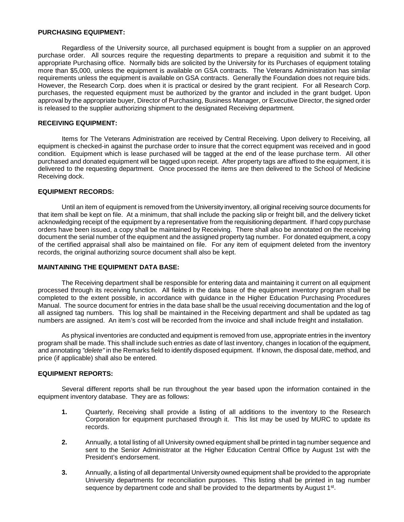# **PURCHASING EQUIPMENT:**

Regardless of the University source, all purchased equipment is bought from a supplier on an approved purchase order. All sources require the requesting departments to prepare a requisition and submit it to the appropriate Purchasing office. Normally bids are solicited by the University for its Purchases of equipment totaling more than \$5,000, unless the equipment is available on GSA contracts. The Veterans Administration has similar requirements unless the equipment is available on GSA contracts. Generally the Foundation does not require bids. However, the Research Corp. does when it is practical or desired by the grant recipient. For all Research Corp. purchases, the requested equipment must be authorized by the grantor and included in the grant budget. Upon approval by the appropriate buyer, Director of Purchasing, Business Manager, or Executive Director, the signed order is released to the supplier authorizing shipment to the designated Receiving department.

# **RECEIVING EQUIPMENT:**

Items for The Veterans Administration are received by Central Receiving. Upon delivery to Receiving, all equipment is checked-in against the purchase order to insure that the correct equipment was received and in good condition. Equipment which is lease purchased will be tagged at the end of the lease purchase term. All other purchased and donated equipment will be tagged upon receipt. After property tags are affixed to the equipment, it is delivered to the requesting department. Once processed the items are then delivered to the School of Medicine Receiving dock.

### **EQUIPMENT RECORDS:**

Until an item of equipment is removed from the University inventory, all original receiving source documents for that item shall be kept on file. At a minimum, that shall include the packing slip or freight bill, and the delivery ticket acknowledging receipt of the equipment by a representative from the requisitioning department. If hard copy purchase orders have been issued, a copy shall be maintained by Receiving. There shall also be annotated on the receiving document the serial number of the equipment and the assigned property tag number. For donated equipment, a copy of the certified appraisal shall also be maintained on file. For any item of equipment deleted from the inventory records, the original authorizing source document shall also be kept.

#### **MAINTAINING THE EQUIPMENT DATA BASE:**

The Receiving department shall be responsible for entering data and maintaining it current on all equipment processed through its receiving function. All fields in the data base of the equipment inventory program shall be completed to the extent possible, in accordance with guidance in the Higher Education Purchasing Procedures Manual. The source document for entries in the data base shall be the usual receiving documentation and the log of all assigned tag numbers. This log shall be maintained in the Receiving department and shall be updated as tag numbers are assigned. An item's cost will be recorded from the invoice and shall include freight and installation.

As physical inventories are conducted and equipment is removed from use, appropriate entries in the inventory program shall be made. This shall include such entries as date of last inventory, changes in location of the equipment, and annotating *"delete"* in the Remarks field to identify disposed equipment. If known, the disposal date, method, and price (if applicable) shall also be entered.

#### **EQUIPMENT REPORTS:**

Several different reports shall be run throughout the year based upon the information contained in the equipment inventory database. They are as follows:

- **1.** Quarterly, Receiving shall provide a listing of all additions to the inventory to the Research Corporation for equipment purchased through it. This list may be used by MURC to update its records.
- **2.** Annually, a total listing of all University owned equipment shall be printed in tag number sequence and sent to the Senior Administrator at the Higher Education Central Office by August 1st with the President's endorsement.
- **3.** Annually, a listing of all departmental University owned equipment shall be provided to the appropriate University departments for reconciliation purposes. This listing shall be printed in tag number sequence by department code and shall be provided to the departments by August  $1<sup>st</sup>$ .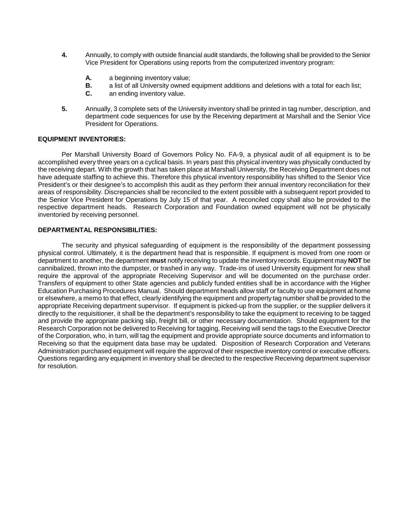- **4.** Annually, to comply with outside financial audit standards, the following shall be provided to the Senior Vice President for Operations using reports from the computerized inventory program:
	- **A.** a beginning inventory value;
	- **B.** a list of all University owned equipment additions and deletions with a total for each list;
	- **C.** an ending inventory value.
- **5.** Annually, 3 complete sets of the University inventory shall be printed in tag number, description, and department code sequences for use by the Receiving department at Marshall and the Senior Vice President for Operations.

### **EQUIPMENT INVENTORIES:**

Per Marshall University Board of Governors Policy No. FA-9, a physical audit of all equipment is to be accomplished every three years on a cyclical basis. In years past this physical inventory was physically conducted by the receiving depart. With the growth that has taken place at Marshall University, the Receiving Department does not have adequate staffing to achieve this. Therefore this physical inventory responsibility has shifted to the Senior Vice President's or their designee's to accomplish this audit as they perform their annual inventory reconciliation for their areas of responsibility. Discrepancies shall be reconciled to the extent possible with a subsequent report provided to the Senior Vice President for Operations by July 15 of that year. A reconciled copy shall also be provided to the respective department heads. Research Corporation and Foundation owned equipment will not be physically inventoried by receiving personnel.

### **DEPARTMENTAL RESPONSIBILITIES:**

The security and physical safeguarding of equipment is the responsibility of the department possessing physical control. Ultimately, it is the department head that is responsible. If equipment is moved from one room or department to another, the department **must** notify receiving to update the inventory records. Equipment may **NOT** be cannibalized, thrown into the dumpster, or trashed in any way. Trade-ins of used University equipment for new shall require the approval of the appropriate Receiving Supervisor and will be documented on the purchase order. Transfers of equipment to other State agencies and publicly funded entities shall be in accordance with the Higher Education Purchasing Procedures Manual. Should department heads allow staff or faculty to use equipment at home or elsewhere, a memo to that effect, clearly identifying the equipment and property tag number shall be provided to the appropriate Receiving department supervisor. If equipment is picked-up from the supplier, or the supplier delivers it directly to the requisitioner, it shall be the department's responsibility to take the equipment to receiving to be tagged and provide the appropriate packing slip, freight bill, or other necessary documentation. Should equipment for the Research Corporation not be delivered to Receiving for tagging, Receiving will send the tags to the Executive Director of the Corporation, who, in turn, will tag the equipment and provide appropriate source documents and information to Receiving so that the equipment data base may be updated. Disposition of Research Corporation and Veterans Administration purchased equipment will require the approval of their respective inventory control or executive officers. Questions regarding any equipment in inventory shall be directed to the respective Receiving department supervisor for resolution.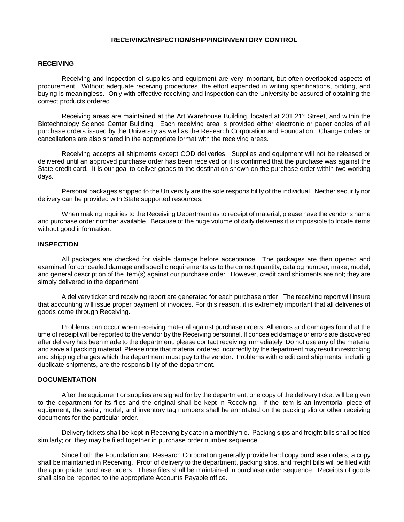#### **RECEIVING/INSPECTION/SHIPPING/INVENTORY CONTROL**

#### **RECEIVING**

Receiving and inspection of supplies and equipment are very important, but often overlooked aspects of procurement. Without adequate receiving procedures, the effort expended in writing specifications, bidding, and buying is meaningless. Only with effective receiving and inspection can the University be assured of obtaining the correct products ordered.

Receiving areas are maintained at the Art Warehouse Building, located at 201 21<sup>st</sup> Street, and within the Biotechnology Science Center Building. Each receiving area is provided either electronic or paper copies of all purchase orders issued by the University as well as the Research Corporation and Foundation. Change orders or cancellations are also shared in the appropriate format with the receiving areas.

Receiving accepts all shipments except COD deliveries. Supplies and equipment will not be released or delivered until an approved purchase order has been received or it is confirmed that the purchase was against the State credit card. It is our goal to deliver goods to the destination shown on the purchase order within two working days.

Personal packages shipped to the University are the sole responsibility of the individual. Neither security nor delivery can be provided with State supported resources.

When making inquiries to the Receiving Department as to receipt of material, please have the vendor's name and purchase order number available. Because of the huge volume of daily deliveries it is impossible to locate items without good information.

# **INSPECTION**

All packages are checked for visible damage before acceptance. The packages are then opened and examined for concealed damage and specific requirements as to the correct quantity, catalog number, make, model, and general description of the item(s) against our purchase order. However, credit card shipments are not; they are simply delivered to the department.

A delivery ticket and receiving report are generated for each purchase order. The receiving report will insure that accounting will issue proper payment of invoices. For this reason, it is extremely important that all deliveries of goods come through Receiving.

Problems can occur when receiving material against purchase orders. All errors and damages found at the time of receipt will be reported to the vendor by the Receiving personnel. If concealed damage or errors are discovered after delivery has been made to the department, please contact receiving immediately. Do not use any of the material and save all packing material. Please note that material ordered incorrectly by the department may result in restocking and shipping charges which the department must pay to the vendor. Problems with credit card shipments, including duplicate shipments, are the responsibility of the department.

#### **DOCUMENTATION**

After the equipment or supplies are signed for by the department, one copy of the delivery ticket will be given to the department for its files and the original shall be kept in Receiving. If the item is an inventorial piece of equipment, the serial, model, and inventory tag numbers shall be annotated on the packing slip or other receiving documents for the particular order.

Delivery tickets shall be kept in Receiving by date in a monthly file. Packing slips and freight bills shall be filed similarly; or, they may be filed together in purchase order number sequence.

Since both the Foundation and Research Corporation generally provide hard copy purchase orders, a copy shall be maintained in Receiving. Proof of delivery to the department, packing slips, and freight bills will be filed with the appropriate purchase orders. These files shall be maintained in purchase order sequence. Receipts of goods shall also be reported to the appropriate Accounts Payable office.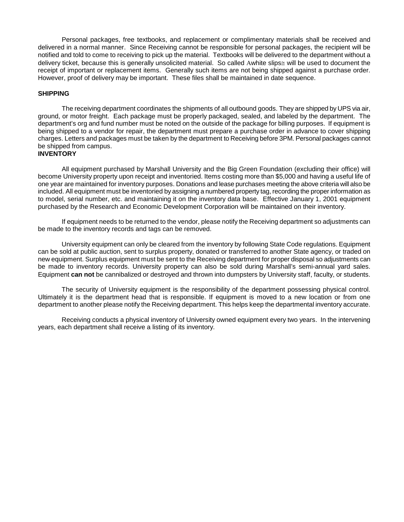Personal packages, free textbooks, and replacement or complimentary materials shall be received and delivered in a normal manner. Since Receiving cannot be responsible for personal packages, the recipient will be notified and told to come to receiving to pick up the material. Textbooks will be delivered to the department without a delivery ticket, because this is generally unsolicited material. So called Αwhite slips≅ will be used to document the receipt of important or replacement items. Generally such items are not being shipped against a purchase order. However, proof of delivery may be important. These files shall be maintained in date sequence.

#### **SHIPPING**

The receiving department coordinates the shipments of all outbound goods. They are shipped by UPS via air, ground, or motor freight. Each package must be properly packaged, sealed, and labeled by the department. The department's org and fund number must be noted on the outside of the package for billing purposes. If equipment is being shipped to a vendor for repair, the department must prepare a purchase order in advance to cover shipping charges. Letters and packages must be taken by the department to Receiving before 3PM. Personal packages cannot be shipped from campus.

# **INVENTORY**

All equipment purchased by Marshall University and the Big Green Foundation (excluding their office) will become University property upon receipt and inventoried. Items costing more than \$5,000 and having a useful life of one year are maintained for inventory purposes. Donations and lease purchases meeting the above criteria will also be included. All equipment must be inventoried by assigning a numbered property tag, recording the proper information as to model, serial number, etc. and maintaining it on the inventory data base. Effective January 1, 2001 equipment purchased by the Research and Economic Development Corporation will be maintained on their inventory.

If equipment needs to be returned to the vendor, please notify the Receiving department so adjustments can be made to the inventory records and tags can be removed.

University equipment can only be cleared from the inventory by following State Code regulations. Equipment can be sold at public auction, sent to surplus property, donated or transferred to another State agency, or traded on new equipment. Surplus equipment must be sent to the Receiving department for proper disposal so adjustments can be made to inventory records. University property can also be sold during Marshall's semi-annual yard sales. Equipment **can not** be cannibalized or destroyed and thrown into dumpsters by University staff, faculty, or students.

The security of University equipment is the responsibility of the department possessing physical control. Ultimately it is the department head that is responsible. If equipment is moved to a new location or from one department to another please notify the Receiving department. This helps keep the departmental inventory accurate.

Receiving conducts a physical inventory of University owned equipment every two years. In the intervening years, each department shall receive a listing of its inventory.